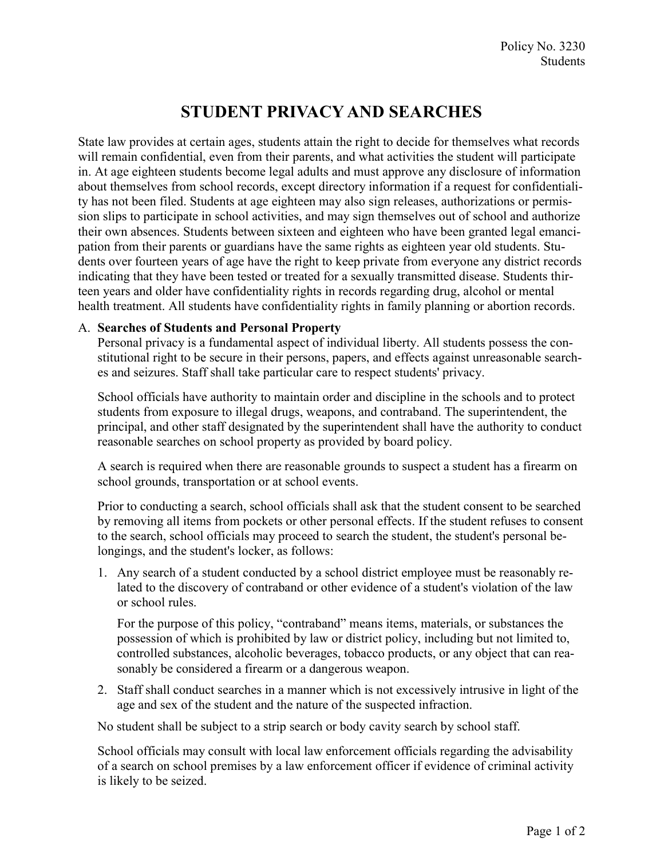## STUDENT PRIVACY AND SEARCHES

State law provides at certain ages, students attain the right to decide for themselves what records will remain confidential, even from their parents, and what activities the student will participate in. At age eighteen students become legal adults and must approve any disclosure of information about themselves from school records, except directory information if a request for confidentiality has not been filed. Students at age eighteen may also sign releases, authorizations or permission slips to participate in school activities, and may sign themselves out of school and authorize their own absences. Students between sixteen and eighteen who have been granted legal emancipation from their parents or guardians have the same rights as eighteen year old students. Students over fourteen years of age have the right to keep private from everyone any district records indicating that they have been tested or treated for a sexually transmitted disease. Students thirteen years and older have confidentiality rights in records regarding drug, alcohol or mental health treatment. All students have confidentiality rights in family planning or abortion records.

## A. Searches of Students and Personal Property

Personal privacy is a fundamental aspect of individual liberty. All students possess the constitutional right to be secure in their persons, papers, and effects against unreasonable searches and seizures. Staff shall take particular care to respect students' privacy.

School officials have authority to maintain order and discipline in the schools and to protect students from exposure to illegal drugs, weapons, and contraband. The superintendent, the principal, and other staff designated by the superintendent shall have the authority to conduct reasonable searches on school property as provided by board policy.

A search is required when there are reasonable grounds to suspect a student has a firearm on school grounds, transportation or at school events.

Prior to conducting a search, school officials shall ask that the student consent to be searched by removing all items from pockets or other personal effects. If the student refuses to consent to the search, school officials may proceed to search the student, the student's personal belongings, and the student's locker, as follows:

1. Any search of a student conducted by a school district employee must be reasonably related to the discovery of contraband or other evidence of a student's violation of the law or school rules.

For the purpose of this policy, "contraband" means items, materials, or substances the possession of which is prohibited by law or district policy, including but not limited to, controlled substances, alcoholic beverages, tobacco products, or any object that can reasonably be considered a firearm or a dangerous weapon.

2. Staff shall conduct searches in a manner which is not excessively intrusive in light of the age and sex of the student and the nature of the suspected infraction.

No student shall be subject to a strip search or body cavity search by school staff.

School officials may consult with local law enforcement officials regarding the advisability of a search on school premises by a law enforcement officer if evidence of criminal activity is likely to be seized.